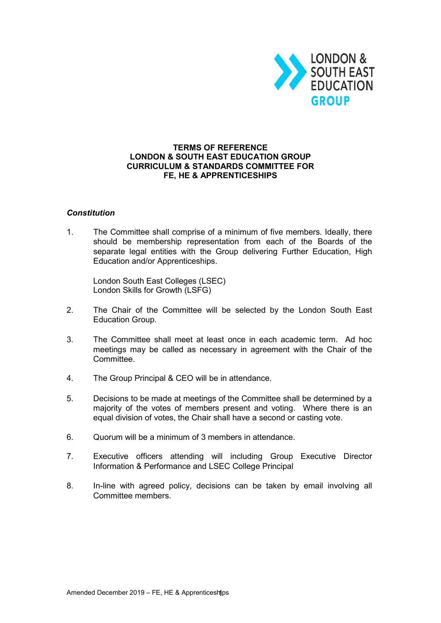

## **TERMS OF REFERENCE LONDON & SOUTH EAST EDUCATION GROUP CURRICULUM & STANDARDS COMMITTEE FOR FE, HE & APPRENTICESHIPS**

## *Constitution*

1. The Committee shall comprise of a minimum of five members. Ideally, there should be membership representation from each of the Boards of the separate legal entities with the Group delivering Further Education, High Education and/or Apprenticeships.

London South East Colleges (LSEC) London Skills for Growth (LSFG)

- 2. The Chair of the Committee will be selected by the London South East Education Group.
- 3. The Committee shall meet at least once in each academic term. Ad hoc meetings may be called as necessary in agreement with the Chair of the Committee.
- 4. The Group Principal & CEO will be in attendance.
- 5. Decisions to be made at meetings of the Committee shall be determined by a majority of the votes of members present and voting. Where there is an equal division of votes, the Chair shall have a second or casting vote.
- 6. Quorum will be a minimum of 3 members in attendance.
- 7. Executive officers attending will including Group Executive Director Information & Performance and LSEC College Principal
- 8. In-line with agreed policy, decisions can be taken by email involving all Committee members.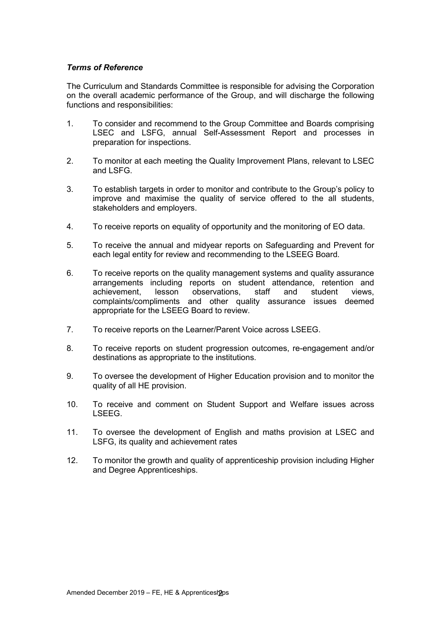## *Terms of Reference*

The Curriculum and Standards Committee is responsible for advising the Corporation on the overall academic performance of the Group, and will discharge the following functions and responsibilities:

- 1. To consider and recommend to the Group Committee and Boards comprising LSEC and LSFG, annual Self-Assessment Report and processes in preparation for inspections.
- 2. To monitor at each meeting the Quality Improvement Plans, relevant to LSEC and LSFG.
- 3. To establish targets in order to monitor and contribute to the Group's policy to improve and maximise the quality of service offered to the all students, stakeholders and employers.
- 4. To receive reports on equality of opportunity and the monitoring of EO data.
- 5. To receive the annual and midyear reports on Safeguarding and Prevent for each legal entity for review and recommending to the LSEEG Board.
- 6. To receive reports on the quality management systems and quality assurance arrangements including reports on student attendance, retention and achievement, lesson observations, staff and student views, student views. complaints/compliments and other quality assurance issues deemed appropriate for the LSEEG Board to review.
- 7. To receive reports on the Learner/Parent Voice across LSEEG.
- 8. To receive reports on student progression outcomes, re-engagement and/or destinations as appropriate to the institutions.
- 9. To oversee the development of Higher Education provision and to monitor the quality of all HE provision.
- 10. To receive and comment on Student Support and Welfare issues across LSEEG.
- 11. To oversee the development of English and maths provision at LSEC and LSFG, its quality and achievement rates
- 12. To monitor the growth and quality of apprenticeship provision including Higher and Degree Apprenticeships.